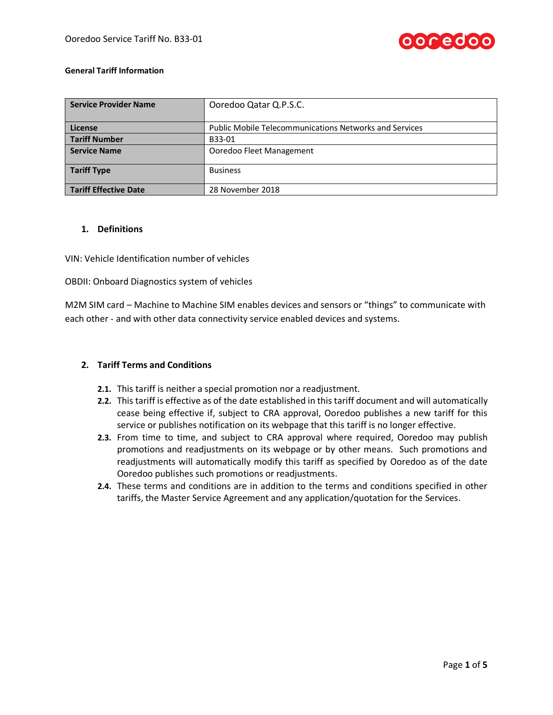

#### **General Tariff Information**

| <b>Service Provider Name</b> | Ooredoo Qatar Q.P.S.C.                                        |  |  |
|------------------------------|---------------------------------------------------------------|--|--|
| License                      | <b>Public Mobile Telecommunications Networks and Services</b> |  |  |
| <b>Tariff Number</b>         | B33-01                                                        |  |  |
| <b>Service Name</b>          | Ooredoo Fleet Management                                      |  |  |
| <b>Tariff Type</b>           | <b>Business</b>                                               |  |  |
| <b>Tariff Effective Date</b> | 28 November 2018                                              |  |  |

## **1. Definitions**

VIN: Vehicle Identification number of vehicles

OBDII: Onboard Diagnostics system of vehicles

M2M SIM card – Machine to Machine SIM enables devices and sensors or "things" to communicate with each other - and with other data connectivity service enabled devices and systems.

### **2. Tariff Terms and Conditions**

- **2.1.** This tariff is neither a special promotion nor a readjustment.
- **2.2.** This tariff is effective as of the date established in this tariff document and will automatically cease being effective if, subject to CRA approval, Ooredoo publishes a new tariff for this service or publishes notification on its webpage that this tariff is no longer effective.
- **2.3.** From time to time, and subject to CRA approval where required, Ooredoo may publish promotions and readjustments on its webpage or by other means. Such promotions and readjustments will automatically modify this tariff as specified by Ooredoo as of the date Ooredoo publishes such promotions or readjustments.
- **2.4.** These terms and conditions are in addition to the terms and conditions specified in other tariffs, the Master Service Agreement and any application/quotation for the Services.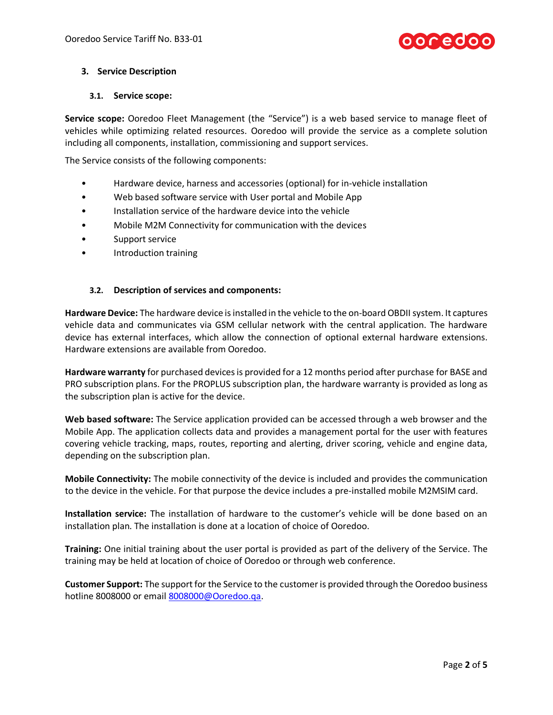

### **3. Service Description**

### **3.1. Service scope:**

**Service scope:** Ooredoo Fleet Management (the "Service") is a web based service to manage fleet of vehicles while optimizing related resources. Ooredoo will provide the service as a complete solution including all components, installation, commissioning and support services.

The Service consists of the following components:

- Hardware device, harness and accessories (optional) for in-vehicle installation
- Web based software service with User portal and Mobile App
- Installation service of the hardware device into the vehicle
- Mobile M2M Connectivity for communication with the devices
- Support service
- Introduction training

## **3.2. Description of services and components:**

**Hardware Device:** The hardware device is installed in the vehicle to the on-board OBDII system. It captures vehicle data and communicates via GSM cellular network with the central application. The hardware device has external interfaces, which allow the connection of optional external hardware extensions. Hardware extensions are available from Ooredoo.

**Hardware warranty** for purchased devices is provided for a 12 months period after purchase for BASE and PRO subscription plans. For the PROPLUS subscription plan, the hardware warranty is provided as long as the subscription plan is active for the device.

**Web based software:** The Service application provided can be accessed through a web browser and the Mobile App. The application collects data and provides a management portal for the user with features covering vehicle tracking, maps, routes, reporting and alerting, driver scoring, vehicle and engine data, depending on the subscription plan.

**Mobile Connectivity:** The mobile connectivity of the device is included and provides the communication to the device in the vehicle. For that purpose the device includes a pre-installed mobile M2MSIM card.

**Installation service:** The installation of hardware to the customer's vehicle will be done based on an installation plan. The installation is done at a location of choice of Ooredoo.

**Training:** One initial training about the user portal is provided as part of the delivery of the Service. The training may be held at location of choice of Ooredoo or through web conference.

**Customer Support:** The support for the Service to the customer is provided through the Ooredoo business hotline 8008000 or emai[l 8008000@Ooredoo.qa.](mailto:8008000@Ooredoo.qa)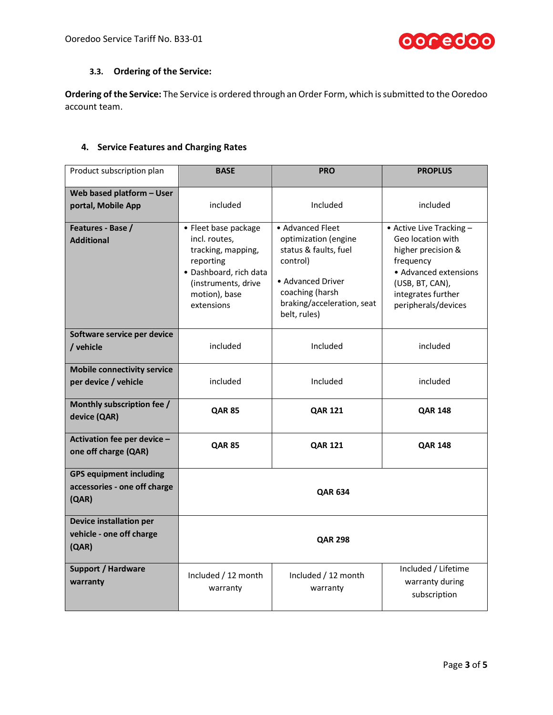

# **3.3. Ordering of the Service:**

**Ordering of the Service:** The Service is ordered through an Order Form, which is submitted to the Ooredoo account team.

# **4. Service Features and Charging Rates**

| Product subscription plan                                               | <b>BASE</b>                                                                                                                                              | <b>PRO</b>                                                                                                                                                          | <b>PROPLUS</b>                                                                                                                                                            |  |
|-------------------------------------------------------------------------|----------------------------------------------------------------------------------------------------------------------------------------------------------|---------------------------------------------------------------------------------------------------------------------------------------------------------------------|---------------------------------------------------------------------------------------------------------------------------------------------------------------------------|--|
| Web based platform - User<br>portal, Mobile App                         | included                                                                                                                                                 | Included                                                                                                                                                            | included                                                                                                                                                                  |  |
| Features - Base /<br><b>Additional</b>                                  | • Fleet base package<br>incl. routes,<br>tracking, mapping,<br>reporting<br>· Dashboard, rich data<br>(instruments, drive<br>motion), base<br>extensions | • Advanced Fleet<br>optimization (engine<br>status & faults, fuel<br>control)<br>• Advanced Driver<br>coaching (harsh<br>braking/acceleration, seat<br>belt, rules) | • Active Live Tracking -<br>Geo location with<br>higher precision &<br>frequency<br>• Advanced extensions<br>(USB, BT, CAN),<br>integrates further<br>peripherals/devices |  |
| Software service per device<br>/ vehicle                                | included                                                                                                                                                 | Included                                                                                                                                                            | included                                                                                                                                                                  |  |
| <b>Mobile connectivity service</b><br>per device / vehicle              | included                                                                                                                                                 | Included                                                                                                                                                            | included                                                                                                                                                                  |  |
| Monthly subscription fee /<br>device (QAR)                              | <b>QAR 85</b>                                                                                                                                            | <b>QAR 121</b>                                                                                                                                                      | <b>QAR 148</b>                                                                                                                                                            |  |
| Activation fee per device -<br>one off charge (QAR)                     | <b>QAR 85</b>                                                                                                                                            | <b>QAR 121</b>                                                                                                                                                      | <b>QAR 148</b>                                                                                                                                                            |  |
| <b>GPS equipment including</b><br>accessories - one off charge<br>(QAR) | <b>QAR 634</b>                                                                                                                                           |                                                                                                                                                                     |                                                                                                                                                                           |  |
| <b>Device installation per</b><br>vehicle - one off charge<br>(QAR)     | <b>QAR 298</b>                                                                                                                                           |                                                                                                                                                                     |                                                                                                                                                                           |  |
| <b>Support / Hardware</b><br>warranty                                   | Included / 12 month<br>warranty                                                                                                                          | Included / 12 month<br>warranty                                                                                                                                     | Included / Lifetime<br>warranty during<br>subscription                                                                                                                    |  |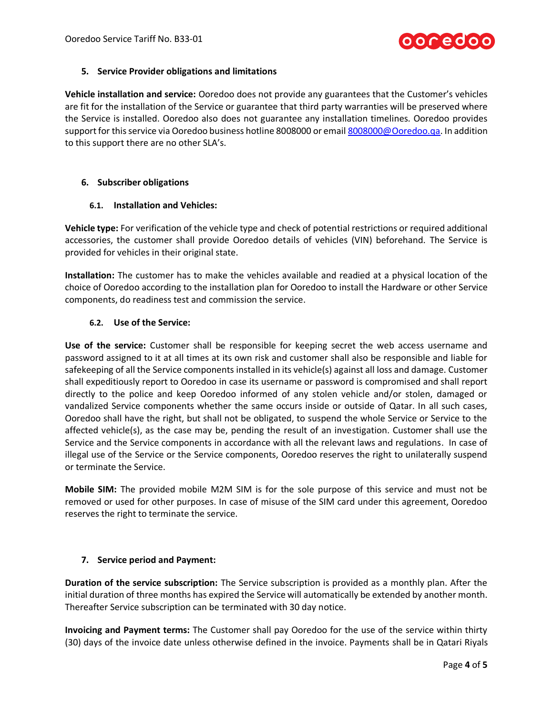

### **5. Service Provider obligations and limitations**

**Vehicle installation and service:** Ooredoo does not provide any guarantees that the Customer's vehicles are fit for the installation of the Service or guarantee that third party warranties will be preserved where the Service is installed. Ooredoo also does not guarantee any installation timelines. Ooredoo provides support for this service via Ooredoo business hotline 8008000 or emai[l 8008000@Ooredoo.qa.](mailto:8008000@Ooredoo.qa) In addition to this support there are no other SLA's.

### **6. Subscriber obligations**

### **6.1. Installation and Vehicles:**

**Vehicle type:** For verification of the vehicle type and check of potential restrictions or required additional accessories, the customer shall provide Ooredoo details of vehicles (VIN) beforehand. The Service is provided for vehicles in their original state.

**Installation:** The customer has to make the vehicles available and readied at a physical location of the choice of Ooredoo according to the installation plan for Ooredoo to install the Hardware or other Service components, do readiness test and commission the service.

## **6.2. Use of the Service:**

**Use of the service:** Customer shall be responsible for keeping secret the web access username and password assigned to it at all times at its own risk and customer shall also be responsible and liable for safekeeping of all the Service components installed in its vehicle(s) against all loss and damage. Customer shall expeditiously report to Ooredoo in case its username or password is compromised and shall report directly to the police and keep Ooredoo informed of any stolen vehicle and/or stolen, damaged or vandalized Service components whether the same occurs inside or outside of Qatar. In all such cases, Ooredoo shall have the right, but shall not be obligated, to suspend the whole Service or Service to the affected vehicle(s), as the case may be, pending the result of an investigation. Customer shall use the Service and the Service components in accordance with all the relevant laws and regulations. In case of illegal use of the Service or the Service components, Ooredoo reserves the right to unilaterally suspend or terminate the Service.

**Mobile SIM:** The provided mobile M2M SIM is for the sole purpose of this service and must not be removed or used for other purposes. In case of misuse of the SIM card under this agreement, Ooredoo reserves the right to terminate the service.

### **7. Service period and Payment:**

**Duration of the service subscription:** The Service subscription is provided as a monthly plan. After the initial duration of three months has expired the Service will automatically be extended by another month. Thereafter Service subscription can be terminated with 30 day notice.

**Invoicing and Payment terms:** The Customer shall pay Ooredoo for the use of the service within thirty (30) days of the invoice date unless otherwise defined in the invoice. Payments shall be in Qatari Riyals